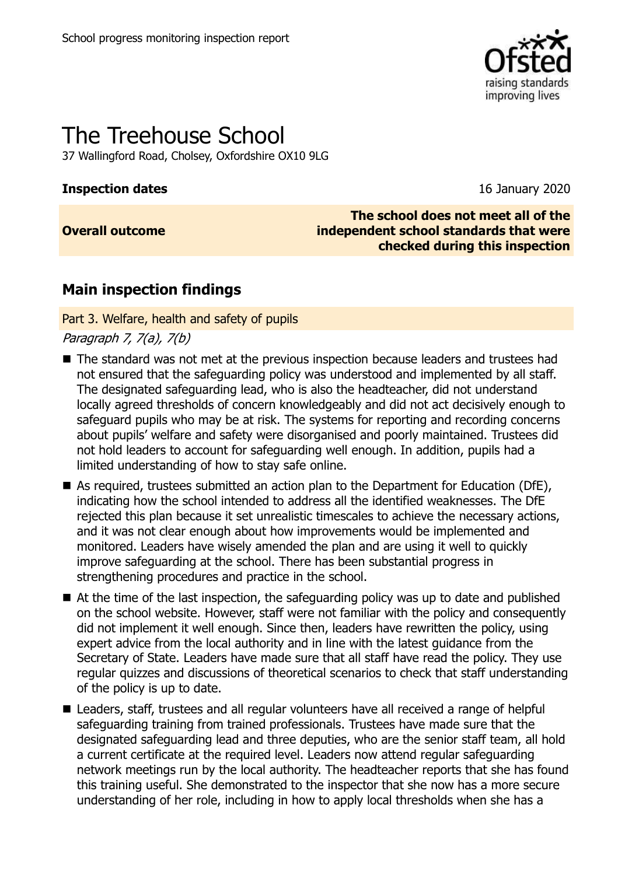

# The Treehouse School

37 Wallingford Road, Cholsey, Oxfordshire OX10 9LG

#### **Inspection dates** 16 January 2020

### **Overall outcome**

**The school does not meet all of the independent school standards that were checked during this inspection**

## **Main inspection findings**

Part 3. Welfare, health and safety of pupils

Paragraph 7, 7(a), 7(b)

- The standard was not met at the previous inspection because leaders and trustees had not ensured that the safeguarding policy was understood and implemented by all staff. The designated safeguarding lead, who is also the headteacher, did not understand locally agreed thresholds of concern knowledgeably and did not act decisively enough to safeguard pupils who may be at risk. The systems for reporting and recording concerns about pupils' welfare and safety were disorganised and poorly maintained. Trustees did not hold leaders to account for safeguarding well enough. In addition, pupils had a limited understanding of how to stay safe online.
- As required, trustees submitted an action plan to the Department for Education (DfE), indicating how the school intended to address all the identified weaknesses. The DfE rejected this plan because it set unrealistic timescales to achieve the necessary actions, and it was not clear enough about how improvements would be implemented and monitored. Leaders have wisely amended the plan and are using it well to quickly improve safeguarding at the school. There has been substantial progress in strengthening procedures and practice in the school.
- At the time of the last inspection, the safeguarding policy was up to date and published on the school website. However, staff were not familiar with the policy and consequently did not implement it well enough. Since then, leaders have rewritten the policy, using expert advice from the local authority and in line with the latest guidance from the Secretary of State. Leaders have made sure that all staff have read the policy. They use regular quizzes and discussions of theoretical scenarios to check that staff understanding of the policy is up to date.
- Leaders, staff, trustees and all regular volunteers have all received a range of helpful safeguarding training from trained professionals. Trustees have made sure that the designated safeguarding lead and three deputies, who are the senior staff team, all hold a current certificate at the required level. Leaders now attend regular safeguarding network meetings run by the local authority. The headteacher reports that she has found this training useful. She demonstrated to the inspector that she now has a more secure understanding of her role, including in how to apply local thresholds when she has a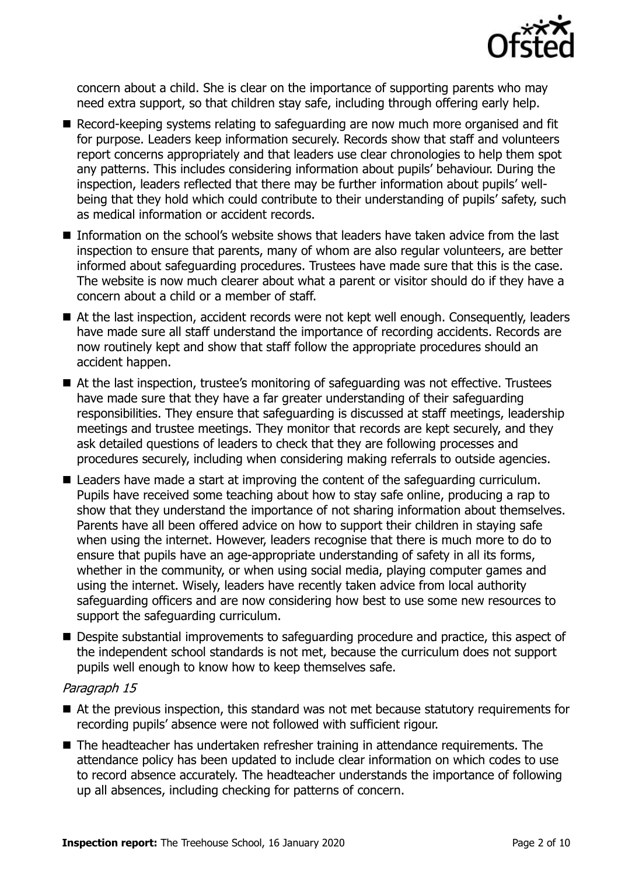

concern about a child. She is clear on the importance of supporting parents who may need extra support, so that children stay safe, including through offering early help.

- Record-keeping systems relating to safeguarding are now much more organised and fit for purpose. Leaders keep information securely. Records show that staff and volunteers report concerns appropriately and that leaders use clear chronologies to help them spot any patterns. This includes considering information about pupils' behaviour. During the inspection, leaders reflected that there may be further information about pupils' wellbeing that they hold which could contribute to their understanding of pupils' safety, such as medical information or accident records.
- Information on the school's website shows that leaders have taken advice from the last inspection to ensure that parents, many of whom are also regular volunteers, are better informed about safeguarding procedures. Trustees have made sure that this is the case. The website is now much clearer about what a parent or visitor should do if they have a concern about a child or a member of staff.
- At the last inspection, accident records were not kept well enough. Consequently, leaders have made sure all staff understand the importance of recording accidents. Records are now routinely kept and show that staff follow the appropriate procedures should an accident happen.
- At the last inspection, trustee's monitoring of safeguarding was not effective. Trustees have made sure that they have a far greater understanding of their safeguarding responsibilities. They ensure that safeguarding is discussed at staff meetings, leadership meetings and trustee meetings. They monitor that records are kept securely, and they ask detailed questions of leaders to check that they are following processes and procedures securely, including when considering making referrals to outside agencies.
- Leaders have made a start at improving the content of the safeguarding curriculum. Pupils have received some teaching about how to stay safe online, producing a rap to show that they understand the importance of not sharing information about themselves. Parents have all been offered advice on how to support their children in staying safe when using the internet. However, leaders recognise that there is much more to do to ensure that pupils have an age-appropriate understanding of safety in all its forms, whether in the community, or when using social media, playing computer games and using the internet. Wisely, leaders have recently taken advice from local authority safeguarding officers and are now considering how best to use some new resources to support the safeguarding curriculum.
- Despite substantial improvements to safeguarding procedure and practice, this aspect of the independent school standards is not met, because the curriculum does not support pupils well enough to know how to keep themselves safe.

#### Paragraph 15

- At the previous inspection, this standard was not met because statutory requirements for recording pupils' absence were not followed with sufficient rigour.
- The headteacher has undertaken refresher training in attendance requirements. The attendance policy has been updated to include clear information on which codes to use to record absence accurately. The headteacher understands the importance of following up all absences, including checking for patterns of concern.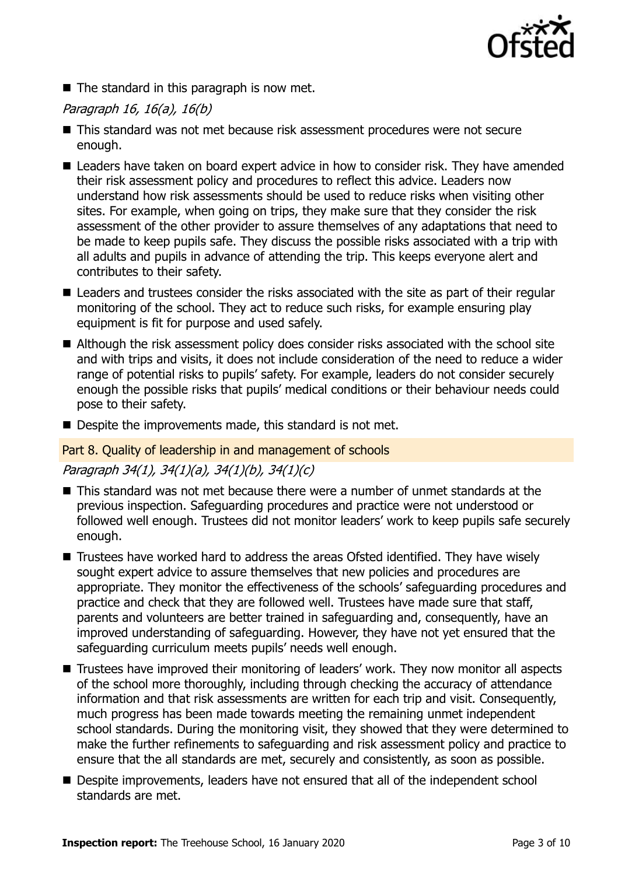

 $\blacksquare$  The standard in this paragraph is now met.

#### Paragraph 16, 16(a), 16(b)

- This standard was not met because risk assessment procedures were not secure enough.
- Leaders have taken on board expert advice in how to consider risk. They have amended their risk assessment policy and procedures to reflect this advice. Leaders now understand how risk assessments should be used to reduce risks when visiting other sites. For example, when going on trips, they make sure that they consider the risk assessment of the other provider to assure themselves of any adaptations that need to be made to keep pupils safe. They discuss the possible risks associated with a trip with all adults and pupils in advance of attending the trip. This keeps everyone alert and contributes to their safety.
- Leaders and trustees consider the risks associated with the site as part of their regular monitoring of the school. They act to reduce such risks, for example ensuring play equipment is fit for purpose and used safely.
- Although the risk assessment policy does consider risks associated with the school site and with trips and visits, it does not include consideration of the need to reduce a wider range of potential risks to pupils' safety. For example, leaders do not consider securely enough the possible risks that pupils' medical conditions or their behaviour needs could pose to their safety.
- Despite the improvements made, this standard is not met.

#### Part 8. Quality of leadership in and management of schools

#### Paragraph 34(1), 34(1)(a), 34(1)(b), 34(1)(c)

- This standard was not met because there were a number of unmet standards at the previous inspection. Safeguarding procedures and practice were not understood or followed well enough. Trustees did not monitor leaders' work to keep pupils safe securely enough.
- Trustees have worked hard to address the areas Ofsted identified. They have wisely sought expert advice to assure themselves that new policies and procedures are appropriate. They monitor the effectiveness of the schools' safeguarding procedures and practice and check that they are followed well. Trustees have made sure that staff, parents and volunteers are better trained in safeguarding and, consequently, have an improved understanding of safeguarding. However, they have not yet ensured that the safeguarding curriculum meets pupils' needs well enough.
- Trustees have improved their monitoring of leaders' work. They now monitor all aspects of the school more thoroughly, including through checking the accuracy of attendance information and that risk assessments are written for each trip and visit. Consequently, much progress has been made towards meeting the remaining unmet independent school standards. During the monitoring visit, they showed that they were determined to make the further refinements to safeguarding and risk assessment policy and practice to ensure that the all standards are met, securely and consistently, as soon as possible.
- Despite improvements, leaders have not ensured that all of the independent school standards are met.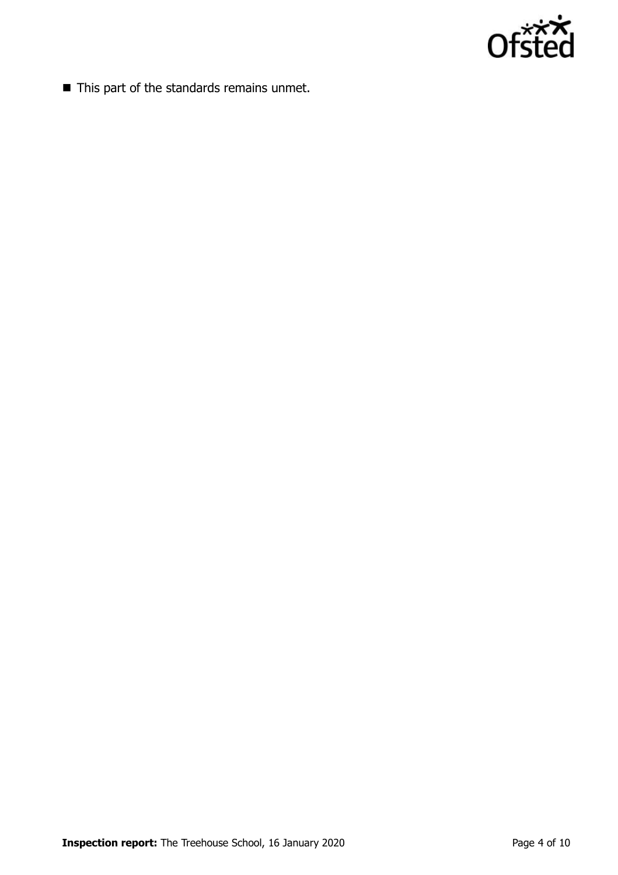

■ This part of the standards remains unmet.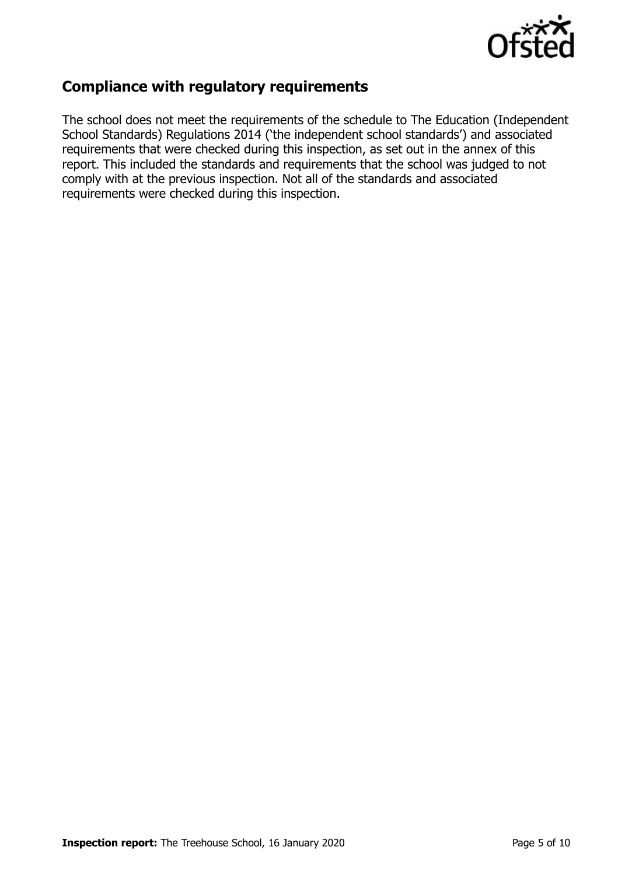

## **Compliance with regulatory requirements**

The school does not meet the requirements of the schedule to The Education (Independent School Standards) Regulations 2014 ('the independent school standards') and associated requirements that were checked during this inspection, as set out in the annex of this report. This included the standards and requirements that the school was judged to not comply with at the previous inspection. Not all of the standards and associated requirements were checked during this inspection.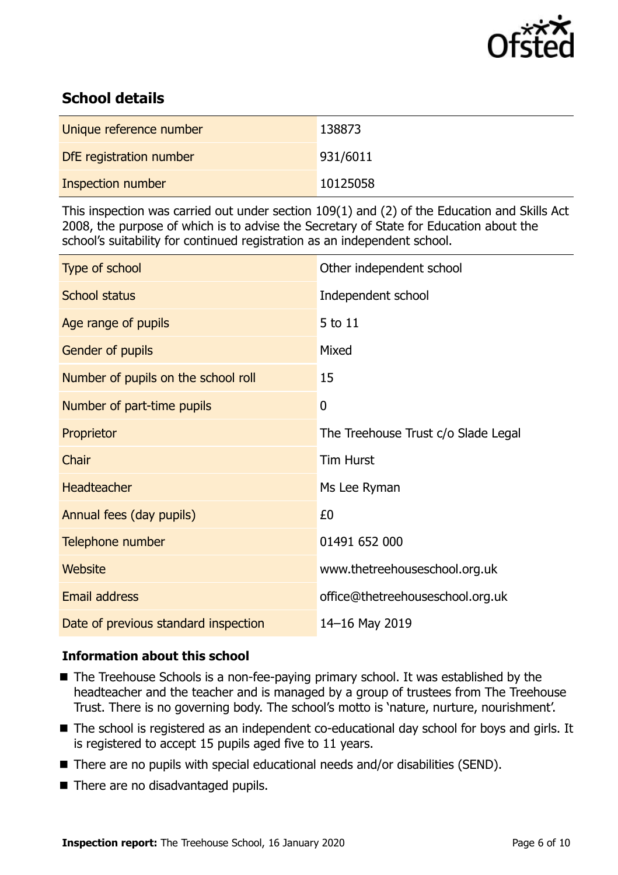

## **School details**

| Unique reference number | 138873   |
|-------------------------|----------|
| DfE registration number | 931/6011 |
| Inspection number       | 10125058 |

This inspection was carried out under section 109(1) and (2) of the Education and Skills Act 2008, the purpose of which is to advise the Secretary of State for Education about the school's suitability for continued registration as an independent school.

| Type of school                       | Other independent school            |
|--------------------------------------|-------------------------------------|
| <b>School status</b>                 | Independent school                  |
| Age range of pupils                  | 5 to 11                             |
| <b>Gender of pupils</b>              | Mixed                               |
| Number of pupils on the school roll  | 15                                  |
| Number of part-time pupils           | $\boldsymbol{0}$                    |
| Proprietor                           | The Treehouse Trust c/o Slade Legal |
| Chair                                | <b>Tim Hurst</b>                    |
| <b>Headteacher</b>                   | Ms Lee Ryman                        |
| Annual fees (day pupils)             | £0                                  |
| Telephone number                     | 01491 652 000                       |
| <b>Website</b>                       | www.thetreehouseschool.org.uk       |
| <b>Email address</b>                 | office@thetreehouseschool.org.uk    |
| Date of previous standard inspection | 14-16 May 2019                      |

### **Information about this school**

- The Treehouse Schools is a non-fee-paying primary school. It was established by the headteacher and the teacher and is managed by a group of trustees from The Treehouse Trust. There is no governing body. The school's motto is 'nature, nurture, nourishment'.
- The school is registered as an independent co-educational day school for boys and girls. It is registered to accept 15 pupils aged five to 11 years.
- There are no pupils with special educational needs and/or disabilities (SEND).
- There are no disadvantaged pupils.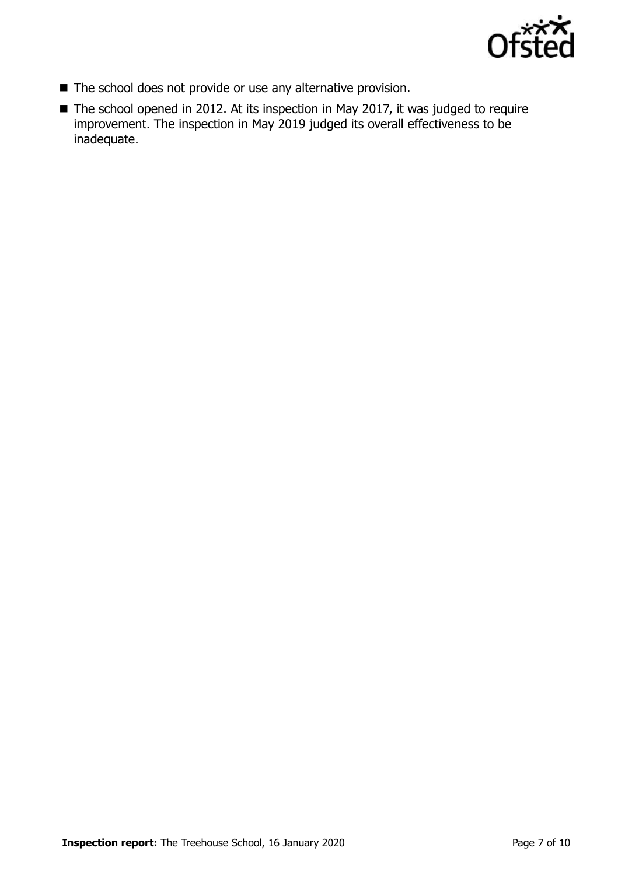

- The school does not provide or use any alternative provision.
- The school opened in 2012. At its inspection in May 2017, it was judged to require improvement. The inspection in May 2019 judged its overall effectiveness to be inadequate.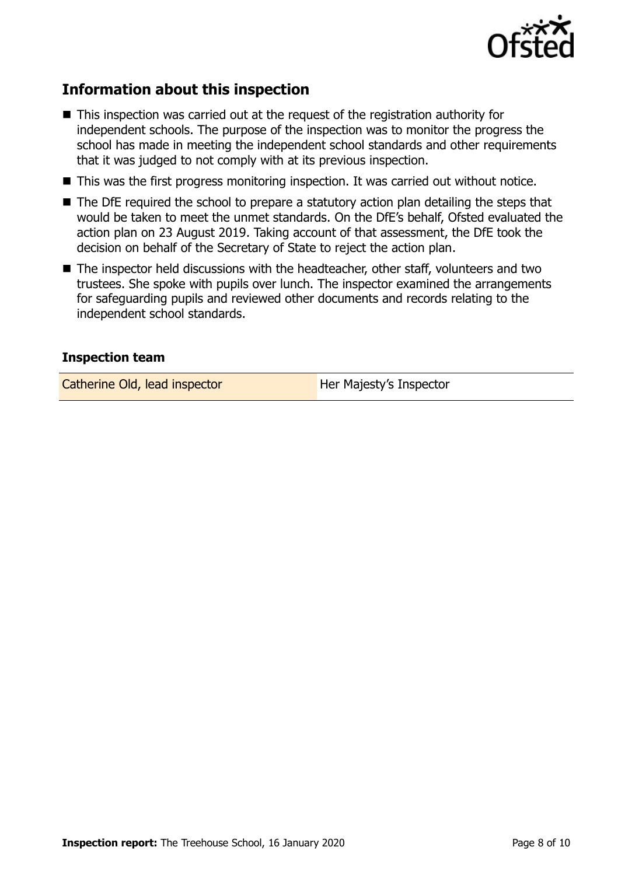

## **Information about this inspection**

- This inspection was carried out at the request of the registration authority for independent schools. The purpose of the inspection was to monitor the progress the school has made in meeting the independent school standards and other requirements that it was judged to not comply with at its previous inspection.
- This was the first progress monitoring inspection. It was carried out without notice.
- The DfE required the school to prepare a statutory action plan detailing the steps that would be taken to meet the unmet standards. On the DfE's behalf, Ofsted evaluated the action plan on 23 August 2019. Taking account of that assessment, the DfE took the decision on behalf of the Secretary of State to reject the action plan.
- The inspector held discussions with the headteacher, other staff, volunteers and two trustees. She spoke with pupils over lunch. The inspector examined the arrangements for safeguarding pupils and reviewed other documents and records relating to the independent school standards.

#### **Inspection team**

Catherine Old, lead inspector **Her Majesty's Inspector**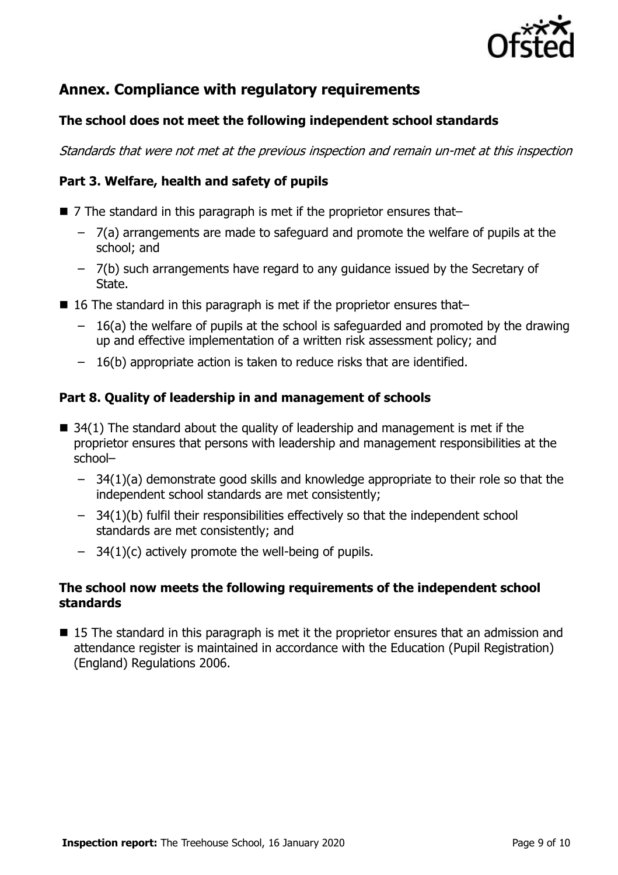

## **Annex. Compliance with regulatory requirements**

#### **The school does not meet the following independent school standards**

Standards that were not met at the previous inspection and remain un-met at this inspection

### **Part 3. Welfare, health and safety of pupils**

- 7 The standard in this paragraph is met if the proprietor ensures that–
	- 7(a) arrangements are made to safeguard and promote the welfare of pupils at the school; and
	- 7(b) such arrangements have regard to any guidance issued by the Secretary of State.
- 16 The standard in this paragraph is met if the proprietor ensures that–
	- 16(a) the welfare of pupils at the school is safeguarded and promoted by the drawing up and effective implementation of a written risk assessment policy; and
	- 16(b) appropriate action is taken to reduce risks that are identified.

#### **Part 8. Quality of leadership in and management of schools**

- $\blacksquare$  34(1) The standard about the quality of leadership and management is met if the proprietor ensures that persons with leadership and management responsibilities at the school–
	- 34(1)(a) demonstrate good skills and knowledge appropriate to their role so that the independent school standards are met consistently;
	- 34(1)(b) fulfil their responsibilities effectively so that the independent school standards are met consistently; and
	- $-$  34(1)(c) actively promote the well-being of pupils.

#### **The school now meets the following requirements of the independent school standards**

■ 15 The standard in this paragraph is met it the proprietor ensures that an admission and attendance register is maintained in accordance with the Education (Pupil Registration) (England) Regulations 2006.